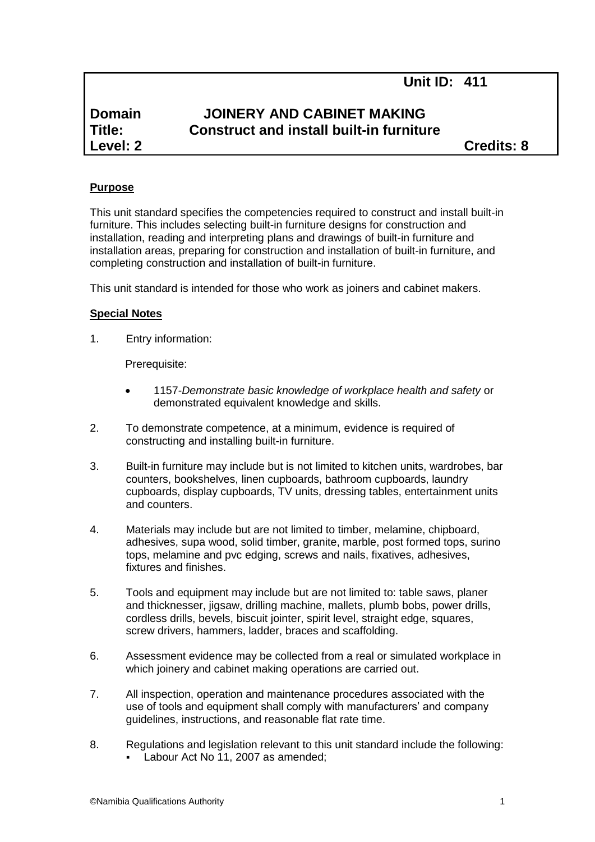# **Unit ID: 411**

# **Domain JOINERY AND CABINET MAKING Title: Construct and install built-in furniture**

**Level: 2 Credits: 8**

#### **Purpose**

This unit standard specifies the competencies required to construct and install built-in furniture. This includes selecting built-in furniture designs for construction and installation, reading and interpreting plans and drawings of built-in furniture and installation areas, preparing for construction and installation of built-in furniture, and completing construction and installation of built-in furniture.

This unit standard is intended for those who work as joiners and cabinet makers.

#### **Special Notes**

1. Entry information:

Prerequisite:

- 1157*-Demonstrate basic knowledge of workplace health and safety* or demonstrated equivalent knowledge and skills.
- 2. To demonstrate competence, at a minimum, evidence is required of constructing and installing built-in furniture.
- 3. Built-in furniture may include but is not limited to kitchen units, wardrobes, bar counters, bookshelves, linen cupboards, bathroom cupboards, laundry cupboards, display cupboards, TV units, dressing tables, entertainment units and counters.
- 4. Materials may include but are not limited to timber, melamine, chipboard, adhesives, supa wood, solid timber, granite, marble, post formed tops, surino tops, melamine and pvc edging, screws and nails, fixatives, adhesives, fixtures and finishes.
- 5. Tools and equipment may include but are not limited to: table saws, planer and thicknesser, jigsaw, drilling machine, mallets, plumb bobs, power drills, cordless drills, bevels, biscuit jointer, spirit level, straight edge, squares, screw drivers, hammers, ladder, braces and scaffolding.
- 6. Assessment evidence may be collected from a real or simulated workplace in which joinery and cabinet making operations are carried out.
- 7. All inspection, operation and maintenance procedures associated with the use of tools and equipment shall comply with manufacturers' and company guidelines, instructions, and reasonable flat rate time.
- 8. Regulations and legislation relevant to this unit standard include the following: Labour Act No 11, 2007 as amended;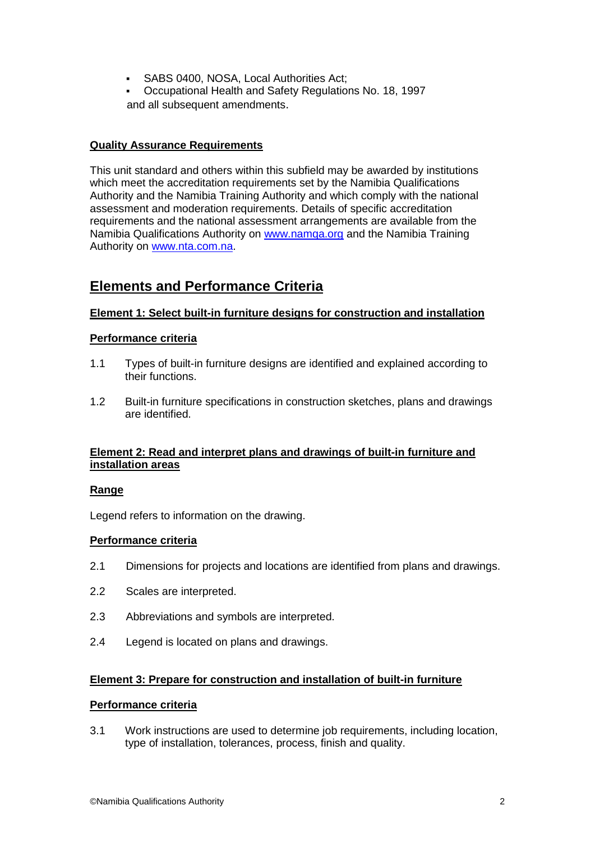- SABS 0400, NOSA, Local Authorities Act;
- Occupational Health and Safety Regulations No. 18, 1997 and all subsequent amendments.

# **Quality Assurance Requirements**

This unit standard and others within this subfield may be awarded by institutions which meet the accreditation requirements set by the Namibia Qualifications Authority and the Namibia Training Authority and which comply with the national assessment and moderation requirements. Details of specific accreditation requirements and the national assessment arrangements are available from the Namibia Qualifications Authority on www.namga.org and the Namibia Training Authority on [www.nta.com.na.](http://www.nta.com.na/)

# **Elements and Performance Criteria**

# **Element 1: Select built-in furniture designs for construction and installation**

# **Performance criteria**

- 1.1 Types of built-in furniture designs are identified and explained according to their functions.
- 1.2 Built-in furniture specifications in construction sketches, plans and drawings are identified.

## **Element 2: Read and interpret plans and drawings of built-in furniture and installation areas**

## **Range**

Legend refers to information on the drawing.

## **Performance criteria**

- 2.1 Dimensions for projects and locations are identified from plans and drawings.
- 2.2 Scales are interpreted.
- 2.3 Abbreviations and symbols are interpreted.
- 2.4 Legend is located on plans and drawings.

## **Element 3: Prepare for construction and installation of built-in furniture**

#### **Performance criteria**

3.1 Work instructions are used to determine job requirements, including location, type of installation, tolerances, process, finish and quality.